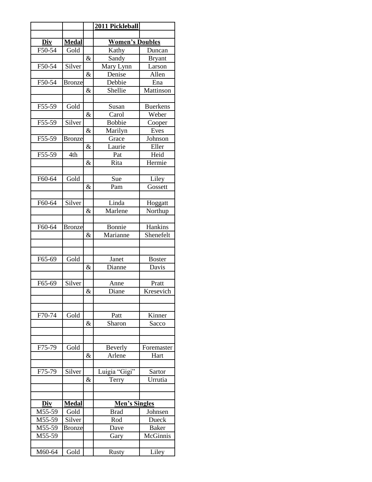|          |               |      | 2011 Pickleball        |                 |
|----------|---------------|------|------------------------|-----------------|
|          |               |      |                        |                 |
| Div      | <b>Medal</b>  |      | <b>Women's Doubles</b> |                 |
| F50-54   | Gold          |      | Kathy                  | Duncan          |
|          |               | $\&$ | Sandy                  | <b>Bryant</b>   |
| F50-54   | Silver        |      | Mary Lynn              | Larson          |
|          |               | &    | Denise                 | Allen           |
| F50-54   | <b>Bronze</b> |      | Debbie                 | Ena             |
|          |               | $\&$ | Shellie                | Mattinson       |
|          |               |      |                        |                 |
| F55-59   | Gold          |      | Susan                  | <b>Buerkens</b> |
|          |               | $\&$ | Carol                  | Weber           |
| F55-59   | Silver        |      | <b>Bobbie</b>          | Cooper          |
|          |               | $\&$ | Marilyn                | Eves            |
| F55-59   | <b>Bronze</b> |      | Grace                  | Johnson         |
|          |               | &    | Laurie                 | Eller           |
| F55-59   | 4th           | &    | Pat<br>Rita            | Heid<br>Hermie  |
|          |               |      |                        |                 |
| F60-64   | Gold          |      | Sue                    | Liley           |
|          |               | $\&$ | Pam                    | Gossett         |
|          |               |      |                        |                 |
| $F60-64$ | Silver        |      | Linda                  | Hoggatt         |
|          |               | $\&$ | Marlene                | Northup         |
|          |               |      |                        |                 |
| F60-64   | <b>Bronze</b> |      | Bonnie                 | Hankins         |
|          |               | &    | Marianne               | Shenefelt       |
|          |               |      |                        |                 |
|          |               |      |                        |                 |
| F65-69   | Gold          |      | Janet                  | <b>Boster</b>   |
|          |               | $\&$ | Dianne                 | Davis           |
|          |               |      |                        |                 |
| F65-69   | Silver        |      | Anne                   | Pratt           |
|          |               | $\&$ | Diane                  | Kresevich       |
|          |               |      |                        |                 |
|          |               |      |                        |                 |
| F70-74   | Gold          |      | Patt                   | Kinner          |
|          |               | &    | Sharon                 | Sacco           |
|          |               |      |                        |                 |
|          |               |      |                        |                 |
| F75-79   | Gold          |      | Beverly                | Foremaster      |
|          |               | &    | Arlene                 | Hart            |
|          |               |      |                        |                 |
| F75-79   | Silver        |      | Luigia "Gigi"          | Sartor          |
|          |               | $\&$ | Terry                  | Urrutia         |
|          |               |      |                        |                 |
|          |               |      |                        |                 |
| Div      | <b>Medal</b>  |      | Men's Singles          |                 |
| M55-59   | Gold          |      | Brad                   | Johnsen         |
| M55-59   | Silver        |      | Rod                    | Dueck           |
| M55-59   | <b>Bronze</b> |      | Dave                   | <b>Baker</b>    |
| M55-59   |               |      | Gary                   | McGinnis        |
|          |               |      |                        |                 |
| M60-64   | Gold          |      | Rusty                  | Liley           |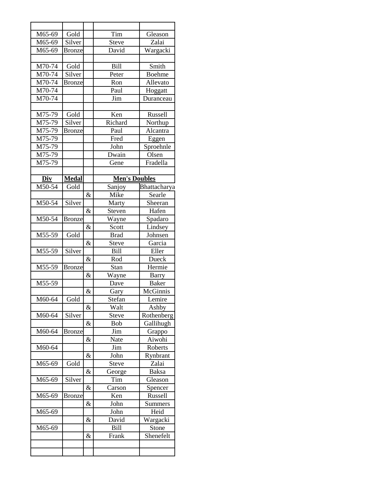| M65-69     | Gold          |      | Tim                  | Gleason       |
|------------|---------------|------|----------------------|---------------|
| M65-69     | Silver        |      | Steve                | Zalai         |
| M65-69     | <b>Bronze</b> |      | David                | Wargacki      |
|            |               |      |                      |               |
| M70-74     | Gold          |      | <b>Bill</b>          | Smith         |
| M70-74     | Silver        |      | Peter                | <b>Boehme</b> |
| $M70-74$   | <b>Bronze</b> |      | Ron                  | Allevato      |
| M70-74     |               |      | Paul                 | Hoggatt       |
| M70-74     |               |      | Jim                  | Duranceau     |
|            |               |      |                      |               |
| M75-79     | Gold          |      | Ken                  | Russell       |
| M75-79     | Silver        |      | Richard              | Northup       |
| $M75 - 79$ | <b>Bronze</b> |      | Paul                 | Alcantra      |
| M75-79     |               |      | Fred                 | Eggen         |
| M75-79     |               |      | John                 | Sproehnle     |
| M75-79     |               |      | Dwain                | Olsen         |
| M75-79     |               |      | Gene                 | Fradella      |
|            |               |      |                      |               |
| Div        | <b>Medal</b>  |      | <b>Men's Doubles</b> |               |
| M50-54     | Gold          |      | Sanjoy               | Bhattacharya  |
|            |               | $\&$ | Mike                 | Searle        |
| M50-54     | Silver        |      | Marty                | Sheeran       |
|            |               | $\&$ | Steven               | Hafen         |
| M50-54     | <b>Bronze</b> |      | Wayne                | Spadaro       |
|            |               | &    | Scott                | Lindsey       |
| M55-59     | Gold          |      | <b>Brad</b>          | Johnsen       |
|            |               | &    | Steve                | Garcia        |
| M55-59     | Silver        |      | <b>Bill</b>          | Eller         |
|            |               | $\&$ | Rod                  | Dueck         |
| M55-59     | <b>Bronze</b> |      | Stan                 | Hermie        |
|            |               | $\&$ | Wayne                | <b>Barry</b>  |
| M55-59     |               |      | Dave                 | <b>Baker</b>  |
|            |               | $\&$ | Gary                 | McGinnis      |
| M60-64     | Gold          |      | Stefan               | Lemire        |
|            |               | &    | Walt                 | Ashby         |
| M60-64     | Silver        |      | <b>Steve</b>         | Rothenberg    |
|            |               | $\&$ | Bob                  | Gallihugh     |
| M60-64     | <b>Bronze</b> |      | Jim                  | Grappo        |
|            |               | &    | Nate                 | Aiwohi        |
| M60-64     |               |      | Jim                  | Roberts       |
|            |               | &    | John                 | Rynbrant      |
| M65-69     | Gold          |      | Steve                | Zalai         |
|            |               | &    | George               | <b>Baksa</b>  |
| M65-69     | Silver        |      | Tim                  | Gleason       |
|            |               | &    | Carson               | Spencer       |
| M65-69     | <b>Bronze</b> |      | Ken                  | Russell       |
|            |               | &    | John                 | Summers       |
| M65-69     |               |      | John                 | Heid          |
|            |               | &    | David                | Wargacki      |
| M65-69     |               |      | <b>Bill</b>          | Stone         |
|            |               | &    | Frank                | Shenefelt     |
|            |               |      |                      |               |
|            |               |      |                      |               |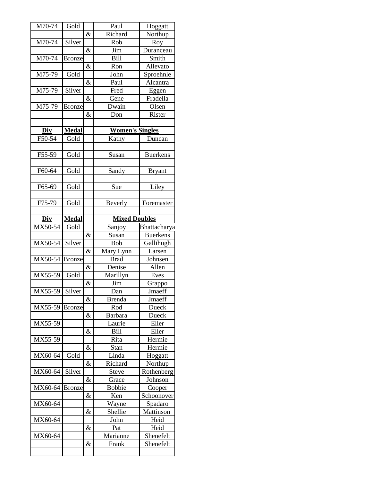| M70-74                                                                                                                                                          | Gold          |      | Paul                   | Hoggatt         |
|-----------------------------------------------------------------------------------------------------------------------------------------------------------------|---------------|------|------------------------|-----------------|
|                                                                                                                                                                 |               | $\&$ | Richard                | Northup         |
| M70-74                                                                                                                                                          | Silver        |      | Rob                    | Roy             |
|                                                                                                                                                                 |               | &    | Jim                    | Duranceau       |
| M70-74                                                                                                                                                          | <b>Bronze</b> |      | Bill                   | Smith           |
|                                                                                                                                                                 |               | &    | Ron                    | Allevato        |
| M75-79                                                                                                                                                          | Gold          |      | John                   | Sproehnle       |
|                                                                                                                                                                 |               | $\&$ | Paul                   | Alcantra        |
| M75-79                                                                                                                                                          | Silver        |      | Fred                   | Eggen           |
|                                                                                                                                                                 |               | &    | Gene                   | Fradella        |
| M75-79                                                                                                                                                          | <b>Bronze</b> |      | Dwain                  | Olsen           |
|                                                                                                                                                                 |               | $\&$ | Don                    | Rister          |
|                                                                                                                                                                 |               |      |                        |                 |
| Div                                                                                                                                                             | <b>Medal</b>  |      | <b>Women's Singles</b> |                 |
| F50-54                                                                                                                                                          | Gold          |      | Kathy                  | Duncan          |
|                                                                                                                                                                 |               |      |                        |                 |
| F55-59                                                                                                                                                          | Gold          |      | Susan                  | <b>Buerkens</b> |
|                                                                                                                                                                 |               |      |                        |                 |
| F60-64                                                                                                                                                          | Gold          |      | Sandy                  | <b>Bryant</b>   |
|                                                                                                                                                                 |               |      |                        |                 |
| F65-69                                                                                                                                                          | Gold          |      | Sue                    | Liley           |
|                                                                                                                                                                 |               |      |                        |                 |
| F75-79                                                                                                                                                          | Gold          |      | Beverly                | Foremaster      |
|                                                                                                                                                                 |               |      |                        |                 |
| <b>Div</b>                                                                                                                                                      | <b>Medal</b>  |      | <b>Mixed Doubles</b>   |                 |
|                                                                                                                                                                 | Gold          |      | Sanjoy                 | Bhattacharya    |
|                                                                                                                                                                 |               |      |                        |                 |
|                                                                                                                                                                 |               | &    | Susan                  | <b>Buerkens</b> |
|                                                                                                                                                                 | Silver        |      | <b>Bob</b>             | Gallihugh       |
|                                                                                                                                                                 |               | &    | Mary Lynn              | Larsen          |
|                                                                                                                                                                 | <b>Bronze</b> |      | <b>Brad</b>            | Johnsen         |
|                                                                                                                                                                 |               | &    | Denise                 | Allen           |
|                                                                                                                                                                 | Gold          |      | Marillyn               | Eves            |
|                                                                                                                                                                 |               | &    | Jim                    | Grappo          |
|                                                                                                                                                                 |               |      | Dan                    | Jmaeff          |
|                                                                                                                                                                 |               | &    | <b>Brenda</b>          | Jmaeff          |
|                                                                                                                                                                 | <b>Bronze</b> |      | Rod                    | Dueck           |
|                                                                                                                                                                 |               | &    | Barbara                | Dueck           |
|                                                                                                                                                                 |               |      | Laurie                 | Eller           |
|                                                                                                                                                                 |               | &    | <b>Bill</b>            | Eller           |
|                                                                                                                                                                 |               |      | Rita                   | Hermie          |
|                                                                                                                                                                 |               | &    | Stan                   | Hermie          |
|                                                                                                                                                                 | Gold          |      | Linda                  | Hoggatt         |
|                                                                                                                                                                 |               | &    | Richard                | Northup         |
|                                                                                                                                                                 | Silver        |      | <b>Steve</b>           | Rothenberg      |
|                                                                                                                                                                 |               | &    | Grace                  | Johnson         |
|                                                                                                                                                                 | <b>Bronze</b> |      | <b>Bobbie</b>          | Cooper          |
|                                                                                                                                                                 |               | &    | Ken                    | Schoonover      |
|                                                                                                                                                                 |               |      | Wayne                  | Spadaro         |
|                                                                                                                                                                 |               | &    | Shellie                | Mattinson       |
|                                                                                                                                                                 |               |      | John                   | Heid            |
|                                                                                                                                                                 |               | &    | Pat                    | Heid            |
| MX50-54<br>MX50-54<br>MX50-54<br>MX55-59<br>$MX55-59$ Silver<br>MX55-59<br>MX55-59<br>MX55-59<br>MX60-64<br>MX60-64<br>MX60-64<br>MX60-64<br>MX60-64<br>MX60-64 |               |      | Marianne               | Shenefelt       |
|                                                                                                                                                                 |               | &    | Frank                  | Shenefelt       |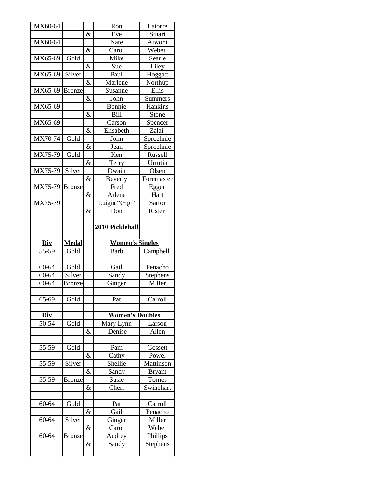| MX60-64        |               |      | Ron<br>Eve                            | Latorre       |
|----------------|---------------|------|---------------------------------------|---------------|
|                |               | &    |                                       | Stuart        |
| MX60-64        |               |      | Nate                                  | Aiwohi        |
|                |               | &    | Carol                                 | Weber         |
| MX65-69        | Gold          |      | Mike                                  | Searle        |
|                |               | $\&$ | Sue                                   | Liley         |
| MX65-69        | Silver        |      | Paul                                  | Hoggatt       |
|                |               | $\&$ | Marlene                               | Northup       |
| MX65-69        | <b>Bronze</b> |      | Susanne                               | Ellis         |
|                |               | &    | John                                  | Summers       |
| MX65-69        |               |      | Bonnie                                | Hankins       |
|                |               | &    | <b>Bill</b>                           | Stone         |
| MX65-69        |               |      | Carson                                | Spencer       |
|                |               | &    | Elisabeth                             | Zalai         |
| MX70-74        | Gold          |      | John                                  | Sproehnle     |
|                |               | $\&$ | Jean                                  | Sproehnle     |
| MX75-79        | Gold          |      | Ken                                   | Russell       |
|                |               | &    | Terry                                 | Urrutia       |
| MX75-79        | Silver        |      | Dwain                                 | Olsen         |
|                |               | $\&$ | Beverly                               | Foremaster    |
| MX75-79 Bronze |               |      | Fred                                  | Eggen         |
|                |               | $\&$ | Arlene                                | Hart          |
| MX75-79        |               |      | Luigia "Gigi"                         | Sartor        |
|                |               | &    | Don                                   | Rister        |
|                |               |      |                                       |               |
|                |               |      | 2010 Pickleball                       |               |
|                |               |      |                                       |               |
|                |               |      |                                       |               |
| Div            |               |      |                                       |               |
|                | <b>Medal</b>  |      | <b>Women's Singles</b><br><b>Barb</b> |               |
| 55-59          | Gold          |      |                                       | Campbell      |
|                |               |      |                                       |               |
| 60-64          | Gold          |      | Gail                                  | Penacho       |
| 60-64          | Silver        |      | Sandy                                 | Stephens      |
| 60-64          | <b>Bronze</b> |      | Ginger                                | Miller        |
|                |               |      |                                       |               |
| 65-69          | Gold          |      | Pat                                   | Carroll       |
|                |               |      |                                       |               |
| Div            |               |      | <b>Women's Doubles</b>                |               |
| 50-54          | Gold          |      | Mary Lynn                             | Larson        |
|                |               | &    | Denise                                | Allen         |
|                |               |      |                                       |               |
| 55-59          | Gold          |      | Pam                                   | Gossett       |
|                |               | &    | Cathy                                 | Powel         |
| 55-59          | Silver        |      | Shellie                               | Mattinson     |
|                |               | &    | Sandy                                 | <b>Bryant</b> |
| 55-59          | <b>Bronze</b> |      | Susie                                 | Tornes        |
|                |               | &    | Cheri                                 | Swinehart     |
|                |               |      |                                       |               |
| 60-64          | Gold          |      | Pat                                   | Carroll       |
|                |               | &    | Gail                                  | Penacho       |
| 60-64          | Silver        |      | Ginger                                | Miller        |
|                |               | &    | Carol                                 | Weber         |
| 60-64          | <b>Bronze</b> |      | Audrey                                | Phillips      |
|                |               | &    | Sandy                                 | Stephens      |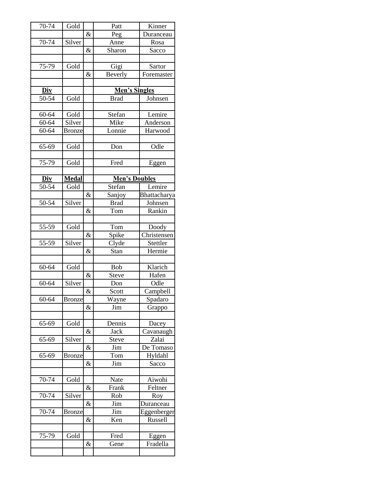| 70-74     | Gold          |      | Patt                 | Kinner                   |
|-----------|---------------|------|----------------------|--------------------------|
|           |               | &    | Peg                  | Duranceau                |
| 70-74     | Silver        |      | Anne                 | Rosa                     |
|           |               | &    | Sharon               | Sacco                    |
|           |               |      |                      |                          |
| 75-79     | Gold          |      | Gigi                 | Sartor                   |
|           |               | &    | Beverly              | Foremaster               |
|           |               |      |                      |                          |
| Div       |               |      | Men's Singles        |                          |
| 50-54     | Gold          |      | <b>Brad</b>          | Johnsen                  |
|           |               |      |                      |                          |
| 60-64     | Gold          |      | Stefan               | Lemire                   |
| 60-64     | Silver        |      | Mike                 | Anderson                 |
| 60-64     | <b>Bronze</b> |      | Lonnie               | Harwood                  |
|           |               |      |                      |                          |
| 65-69     | Gold          |      | Don                  | Odle                     |
|           |               |      |                      |                          |
| 75-79     | Gold          |      | Fred                 | Eggen                    |
| Div       | <b>Medal</b>  |      | <b>Men's Doubles</b> |                          |
| 50-54     | Gold          |      | Stefan               | Lemire                   |
|           |               | $\&$ | Sanjoy               | Bhattacharya             |
| 50-54     | Silver        |      | <b>Brad</b>          | Johnsen                  |
|           |               | &    | Tom                  | Rankin                   |
|           |               |      |                      |                          |
| 55-59     | Gold          |      | Tom                  | Doody                    |
|           |               | &    | Spike                | Christensen              |
| 55-59     | Silver        |      | Clyde                | Stettler                 |
|           |               | &    | Stan                 | Hermie                   |
|           |               |      |                      |                          |
| 60-64     | Gold          |      | <b>Bob</b>           | Klarich                  |
|           |               | $\&$ | Steve                | Hafen                    |
| 60-64     | Silver        |      | Don                  | Odle                     |
|           |               | $\&$ | Scott                | Campbell                 |
| 60-64     | <b>Bronze</b> |      | Wayne                | Spadaro                  |
|           |               | &    | Jim                  | Grappo                   |
|           |               |      |                      |                          |
| 65-69     | Gold          |      | Dennis               | Dacey                    |
|           |               | &    | Jack                 | Cavanaugh                |
| 65-69     | Silver        |      | <b>Steve</b>         | Zalai                    |
|           |               | &    | Jim                  | De Tomaso                |
| 65-69     | <b>Bronze</b> |      | Tom                  | Hyldahl                  |
|           |               | &    | Jim                  | Sacco                    |
|           |               |      |                      |                          |
| 70-74     | Gold          |      | Nate                 | Aiwohi                   |
| $70 - 74$ |               | $\&$ | Frank                | Feltner                  |
|           | Silver        | &    | Rob                  | Roy                      |
| 70-74     | <b>Bronze</b> |      | Jim<br>Jim           | Duranceau<br>Eggenberger |
|           |               | &    | Ken                  | Russell                  |
|           |               |      |                      |                          |
| 75-79     | Gold          |      | Fred                 | Eggen                    |
|           |               | &    | Gene                 | Fradella                 |
|           |               |      |                      |                          |
|           |               |      |                      |                          |